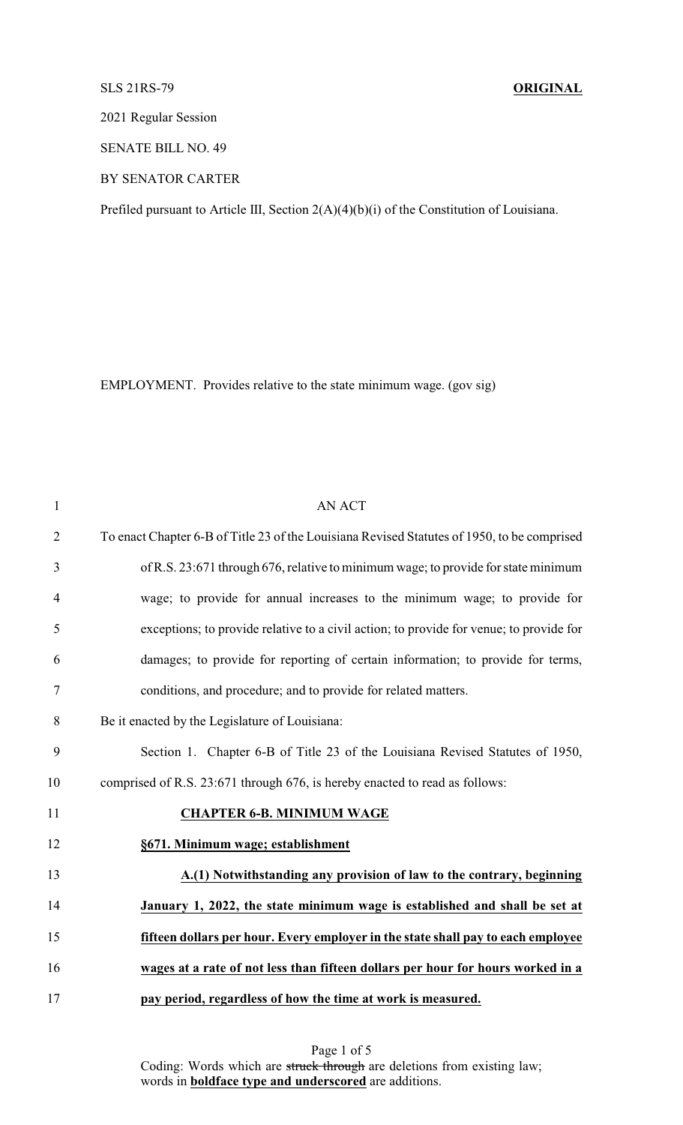## SLS 21RS-79 **ORIGINAL**

2021 Regular Session

SENATE BILL NO. 49

BY SENATOR CARTER

Prefiled pursuant to Article III, Section 2(A)(4)(b)(i) of the Constitution of Louisiana.

EMPLOYMENT. Provides relative to the state minimum wage. (gov sig)

| $\mathbf{1}$   | <b>AN ACT</b>                                                                               |
|----------------|---------------------------------------------------------------------------------------------|
| $\overline{2}$ | To enact Chapter 6-B of Title 23 of the Louisiana Revised Statutes of 1950, to be comprised |
| 3              | of R.S. 23:671 through 676, relative to minimum wage; to provide for state minimum          |
| $\overline{4}$ | wage; to provide for annual increases to the minimum wage; to provide for                   |
| 5              | exceptions; to provide relative to a civil action; to provide for venue; to provide for     |
| 6              | damages; to provide for reporting of certain information; to provide for terms,             |
| 7              | conditions, and procedure; and to provide for related matters.                              |
| $8\,$          | Be it enacted by the Legislature of Louisiana:                                              |
| 9              | Section 1. Chapter 6-B of Title 23 of the Louisiana Revised Statutes of 1950,               |
| 10             | comprised of R.S. 23:671 through 676, is hereby enacted to read as follows:                 |
| 11             | <b>CHAPTER 6-B. MINIMUM WAGE</b>                                                            |
| 12             | §671. Minimum wage; establishment                                                           |
| 13             | A.(1) Notwithstanding any provision of law to the contrary, beginning                       |
| 14             | January 1, 2022, the state minimum wage is established and shall be set at                  |
| 15             | fifteen dollars per hour. Every employer in the state shall pay to each employee            |
| 16             | wages at a rate of not less than fifteen dollars per hour for hours worked in a             |
| 17             | pay period, regardless of how the time at work is measured.                                 |

Page 1 of 5 Coding: Words which are struck through are deletions from existing law; words in **boldface type and underscored** are additions.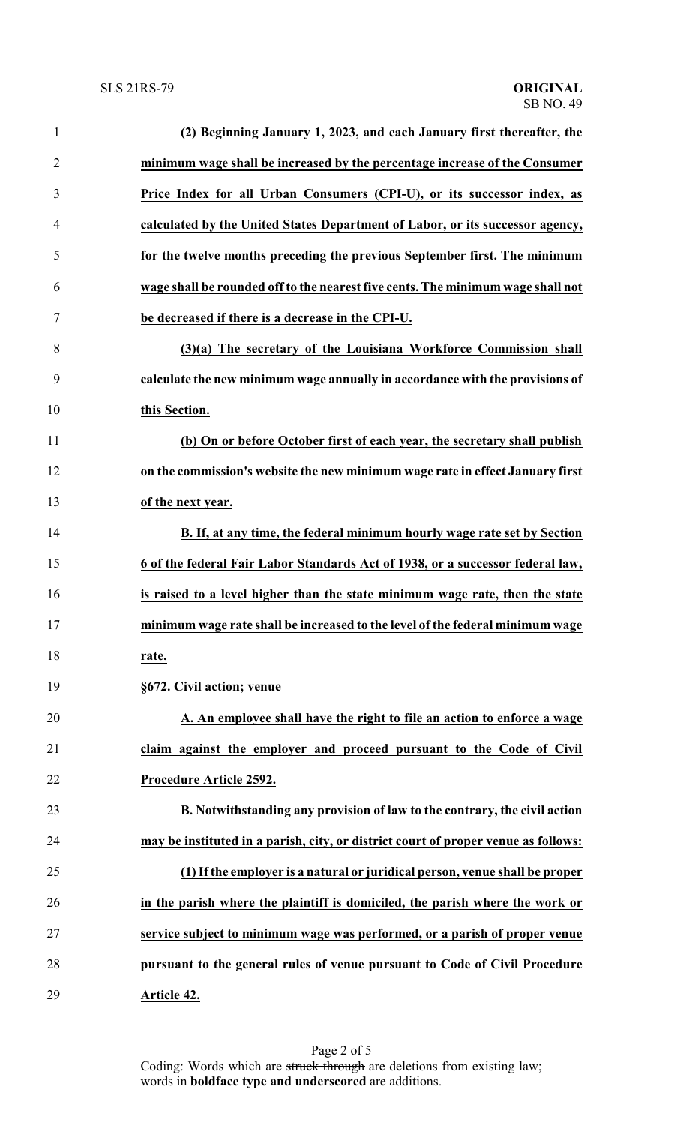| $\mathbf{1}$   | (2) Beginning January 1, 2023, and each January first thereafter, the              |
|----------------|------------------------------------------------------------------------------------|
| $\overline{2}$ | minimum wage shall be increased by the percentage increase of the Consumer         |
| 3              | Price Index for all Urban Consumers (CPI-U), or its successor index, as            |
| 4              | calculated by the United States Department of Labor, or its successor agency,      |
| 5              | for the twelve months preceding the previous September first. The minimum          |
| 6              | wage shall be rounded off to the nearest five cents. The minimum wage shall not    |
| 7              | be decreased if there is a decrease in the CPI-U.                                  |
| 8              | (3)(a) The secretary of the Louisiana Workforce Commission shall                   |
| 9              | calculate the new minimum wage annually in accordance with the provisions of       |
| 10             | this Section.                                                                      |
| 11             | (b) On or before October first of each year, the secretary shall publish           |
| 12             | on the commission's website the new minimum wage rate in effect January first      |
| 13             | of the next year.                                                                  |
| 14             | B. If, at any time, the federal minimum hourly wage rate set by Section            |
| 15             | 6 of the federal Fair Labor Standards Act of 1938, or a successor federal law,     |
| 16             | is raised to a level higher than the state minimum wage rate, then the state       |
| 17             | minimum wage rate shall be increased to the level of the federal minimum wage      |
| 18             | rate.                                                                              |
| 19             | §672. Civil action; venue                                                          |
| 20             | A. An employee shall have the right to file an action to enforce a wage            |
| 21             | claim against the employer and proceed pursuant to the Code of Civil               |
| 22             | Procedure Article 2592.                                                            |
| 23             | B. Notwithstanding any provision of law to the contrary, the civil action          |
| 24             | may be instituted in a parish, city, or district court of proper venue as follows: |
| 25             | (1) If the employer is a natural or juridical person, venue shall be proper        |
| 26             | in the parish where the plaintiff is domiciled, the parish where the work or       |
| 27             | service subject to minimum wage was performed, or a parish of proper venue         |
| 28             | pursuant to the general rules of venue pursuant to Code of Civil Procedure         |
| 29             | Article 42.                                                                        |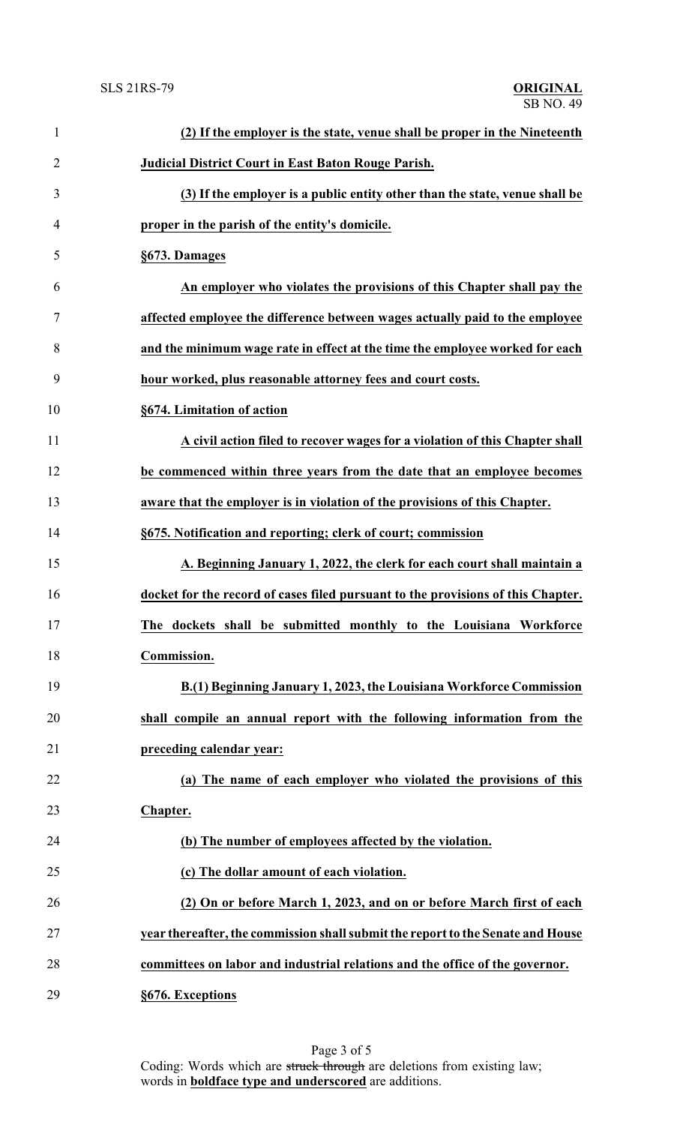| $\mathbf{1}$   | (2) If the employer is the state, venue shall be proper in the Nineteenth        |
|----------------|----------------------------------------------------------------------------------|
| $\overline{2}$ | <b>Judicial District Court in East Baton Rouge Parish.</b>                       |
| 3              | (3) If the employer is a public entity other than the state, venue shall be      |
| 4              | proper in the parish of the entity's domicile.                                   |
| 5              | §673. Damages                                                                    |
| 6              | An employer who violates the provisions of this Chapter shall pay the            |
| 7              | affected employee the difference between wages actually paid to the employee     |
| 8              | and the minimum wage rate in effect at the time the employee worked for each     |
| 9              | hour worked, plus reasonable attorney fees and court costs.                      |
| 10             | §674. Limitation of action                                                       |
| 11             | A civil action filed to recover wages for a violation of this Chapter shall      |
| 12             | be commenced within three years from the date that an employee becomes           |
| 13             | aware that the employer is in violation of the provisions of this Chapter.       |
| 14             | §675. Notification and reporting; clerk of court; commission                     |
| 15             | A. Beginning January 1, 2022, the clerk for each court shall maintain a          |
| 16             | docket for the record of cases filed pursuant to the provisions of this Chapter. |
| 17             | The dockets shall be submitted monthly to the Louisiana Workforce                |
| 18             | Commission.                                                                      |
| 19             | B.(1) Beginning January 1, 2023, the Louisiana Workforce Commission              |
| 20             | shall compile an annual report with the following information from the           |
| 21             | preceding calendar year:                                                         |
| 22             | (a) The name of each employer who violated the provisions of this                |
| 23             | Chapter.                                                                         |
| 24             | (b) The number of employees affected by the violation.                           |
| 25             | (c) The dollar amount of each violation.                                         |
| 26             | (2) On or before March 1, 2023, and on or before March first of each             |
| 27             | year thereafter, the commission shall submit the report to the Senate and House  |
| 28             | committees on labor and industrial relations and the office of the governor.     |
| 29             | §676. Exceptions                                                                 |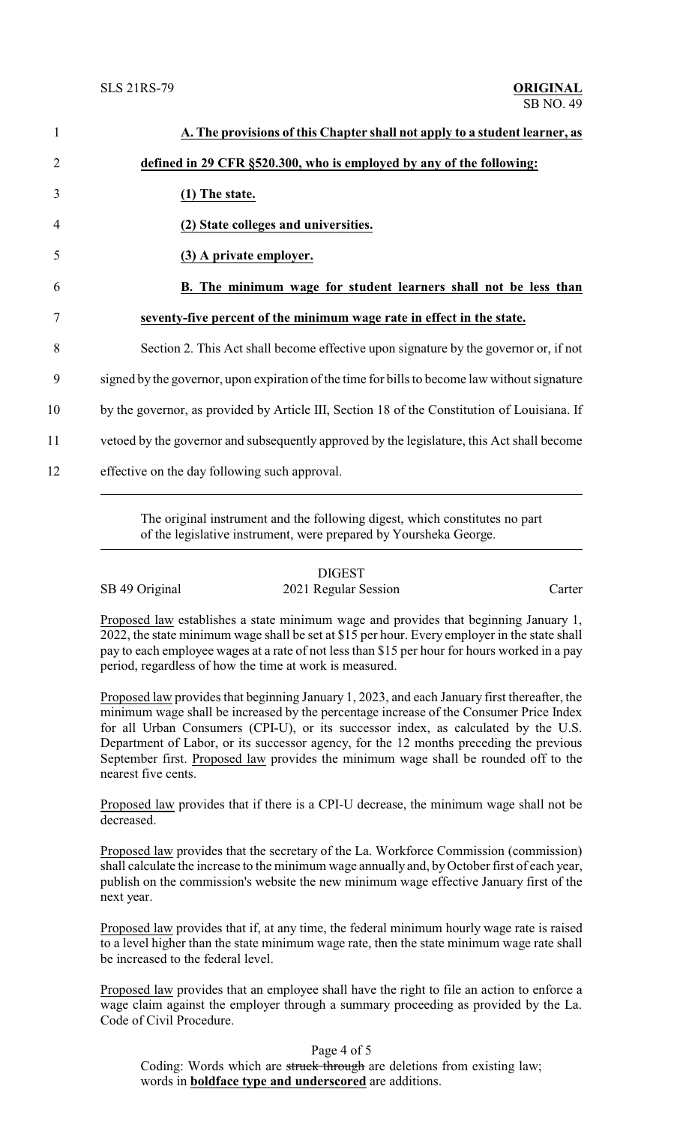| A. The provisions of this Chapter shall not apply to a student learner, as                    |
|-----------------------------------------------------------------------------------------------|
| defined in 29 CFR §520.300, who is employed by any of the following:                          |
| (1) The state.                                                                                |
| (2) State colleges and universities.                                                          |
| (3) A private employer.                                                                       |
| B. The minimum wage for student learners shall not be less than                               |
| seventy-five percent of the minimum wage rate in effect in the state.                         |
| Section 2. This Act shall become effective upon signature by the governor or, if not          |
| signed by the governor, upon expiration of the time for bills to become law without signature |
| by the governor, as provided by Article III, Section 18 of the Constitution of Louisiana. If  |
| vetoed by the governor and subsequently approved by the legislature, this Act shall become    |
| effective on the day following such approval.                                                 |

The original instrument and the following digest, which constitutes no part of the legislative instrument, were prepared by Yoursheka George.

SB 49 Original 2021 Regular Session Carter

Proposed law establishes a state minimum wage and provides that beginning January 1, 2022, the state minimum wage shall be set at \$15 per hour. Every employer in the state shall pay to each employee wages at a rate of not less than \$15 per hour for hours worked in a pay period, regardless of how the time at work is measured.

Proposed law provides that beginning January 1, 2023, and each January first thereafter, the minimum wage shall be increased by the percentage increase of the Consumer Price Index for all Urban Consumers (CPI-U), or its successor index, as calculated by the U.S. Department of Labor, or its successor agency, for the 12 months preceding the previous September first. Proposed law provides the minimum wage shall be rounded off to the nearest five cents.

Proposed law provides that if there is a CPI-U decrease, the minimum wage shall not be decreased.

Proposed law provides that the secretary of the La. Workforce Commission (commission) shall calculate the increase to the minimum wage annually and, byOctober first of each year, publish on the commission's website the new minimum wage effective January first of the next year.

Proposed law provides that if, at any time, the federal minimum hourly wage rate is raised to a level higher than the state minimum wage rate, then the state minimum wage rate shall be increased to the federal level.

Proposed law provides that an employee shall have the right to file an action to enforce a wage claim against the employer through a summary proceeding as provided by the La. Code of Civil Procedure.

Page 4 of 5

Coding: Words which are struck through are deletions from existing law; words in **boldface type and underscored** are additions.